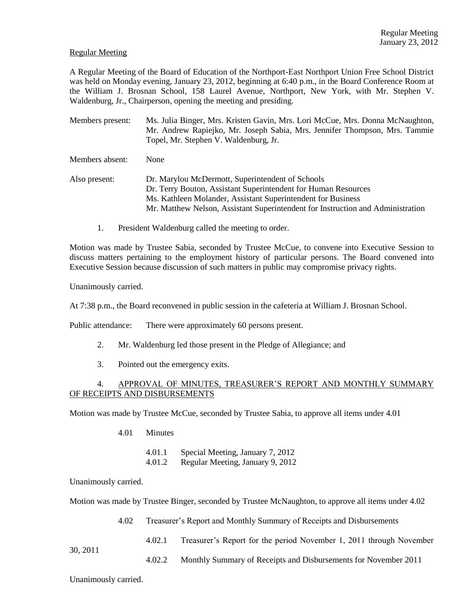### Regular Meeting

A Regular Meeting of the Board of Education of the Northport-East Northport Union Free School District was held on Monday evening, January 23, 2012, beginning at 6:40 p.m., in the Board Conference Room at the William J. Brosnan School, 158 Laurel Avenue, Northport, New York, with Mr. Stephen V. Waldenburg, Jr., Chairperson, opening the meeting and presiding.

- Members present: Ms. Julia Binger, Mrs. Kristen Gavin, Mrs. Lori McCue, Mrs. Donna McNaughton, Mr. Andrew Rapiejko, Mr. Joseph Sabia, Mrs. Jennifer Thompson, Mrs. Tammie Topel, Mr. Stephen V. Waldenburg, Jr.
- Members absent: None
- Also present: Dr. Marylou McDermott, Superintendent of Schools Dr. Terry Bouton, Assistant Superintendent for Human Resources Ms. Kathleen Molander, Assistant Superintendent for Business Mr. Matthew Nelson, Assistant Superintendent for Instruction and Administration
	- 1. President Waldenburg called the meeting to order.

Motion was made by Trustee Sabia, seconded by Trustee McCue, to convene into Executive Session to discuss matters pertaining to the employment history of particular persons. The Board convened into Executive Session because discussion of such matters in public may compromise privacy rights.

Unanimously carried.

At 7:38 p.m., the Board reconvened in public session in the cafeteria at William J. Brosnan School.

Public attendance: There were approximately 60 persons present.

- 2. Mr. Waldenburg led those present in the Pledge of Allegiance; and
- 3. Pointed out the emergency exits.

### 4. APPROVAL OF MINUTES, TREASURER'S REPORT AND MONTHLY SUMMARY OF RECEIPTS AND DISBURSEMENTS

Motion was made by Trustee McCue, seconded by Trustee Sabia, to approve all items under 4.01

4.01 Minutes

4.01.1 Special Meeting, January 7, 2012

4.01.2 Regular Meeting, January 9, 2012

Unanimously carried.

Motion was made by Trustee Binger, seconded by Trustee McNaughton, to approve all items under 4.02

4.02 Treasurer's Report and Monthly Summary of Receipts and Disbursements

4.02.1 Treasurer's Report for the period November 1, 2011 through November

4.02.2 Monthly Summary of Receipts and Disbursements for November 2011

Unanimously carried.

30, 2011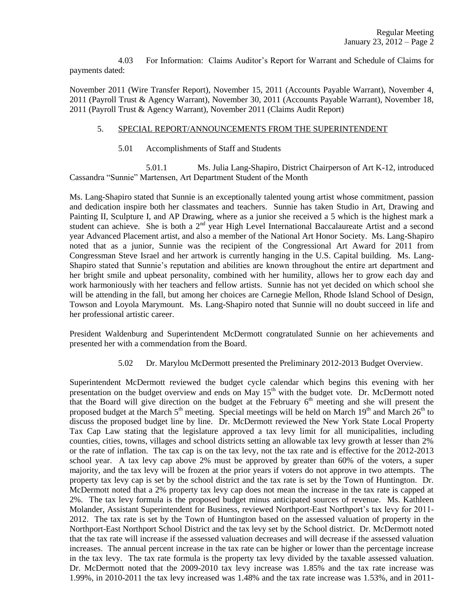4.03 For Information: Claims Auditor's Report for Warrant and Schedule of Claims for payments dated:

November 2011 (Wire Transfer Report), November 15, 2011 (Accounts Payable Warrant), November 4, 2011 (Payroll Trust & Agency Warrant), November 30, 2011 (Accounts Payable Warrant), November 18, 2011 (Payroll Trust & Agency Warrant), November 2011 (Claims Audit Report)

### 5. SPECIAL REPORT/ANNOUNCEMENTS FROM THE SUPERINTENDENT

5.01 Accomplishments of Staff and Students

5.01.1 Ms. Julia Lang-Shapiro, District Chairperson of Art K-12, introduced Cassandra "Sunnie" Martensen, Art Department Student of the Month

Ms. Lang-Shapiro stated that Sunnie is an exceptionally talented young artist whose commitment, passion and dedication inspire both her classmates and teachers. Sunnie has taken Studio in Art, Drawing and Painting II, Sculpture I, and AP Drawing, where as a junior she received a 5 which is the highest mark a student can achieve. She is both a 2<sup>nd</sup> year High Level International Baccalaureate Artist and a second year Advanced Placement artist, and also a member of the National Art Honor Society. Ms. Lang-Shapiro noted that as a junior, Sunnie was the recipient of the Congressional Art Award for 2011 from Congressman Steve Israel and her artwork is currently hanging in the U.S. Capital building. Ms. Lang-Shapiro stated that Sunnie's reputation and abilities are known throughout the entire art department and her bright smile and upbeat personality, combined with her humility, allows her to grow each day and work harmoniously with her teachers and fellow artists. Sunnie has not yet decided on which school she will be attending in the fall, but among her choices are Carnegie Mellon, Rhode Island School of Design, Towson and Loyola Marymount. Ms. Lang-Shapiro noted that Sunnie will no doubt succeed in life and her professional artistic career.

President Waldenburg and Superintendent McDermott congratulated Sunnie on her achievements and presented her with a commendation from the Board.

5.02 Dr. Marylou McDermott presented the Preliminary 2012-2013 Budget Overview.

Superintendent McDermott reviewed the budget cycle calendar which begins this evening with her presentation on the budget overview and ends on May  $15<sup>th</sup>$  with the budget vote. Dr. McDermott noted that the Board will give direction on the budget at the February  $6<sup>th</sup>$  meeting and she will present the proposed budget at the March 5<sup>th</sup> meeting. Special meetings will be held on March 19<sup>th</sup> and March 26<sup>th</sup> to discuss the proposed budget line by line. Dr. McDermott reviewed the New York State Local Property Tax Cap Law stating that the legislature approved a tax levy limit for all municipalities, including counties, cities, towns, villages and school districts setting an allowable tax levy growth at lesser than 2% or the rate of inflation. The tax cap is on the tax levy, not the tax rate and is effective for the 2012-2013 school year. A tax levy cap above 2% must be approved by greater than 60% of the voters, a super majority, and the tax levy will be frozen at the prior years if voters do not approve in two attempts. The property tax levy cap is set by the school district and the tax rate is set by the Town of Huntington. Dr. McDermott noted that a 2% property tax levy cap does not mean the increase in the tax rate is capped at 2%. The tax levy formula is the proposed budget minus anticipated sources of revenue. Ms. Kathleen Molander, Assistant Superintendent for Business, reviewed Northport-East Northport's tax levy for 2011- 2012. The tax rate is set by the Town of Huntington based on the assessed valuation of property in the Northport-East Northport School District and the tax levy set by the School district. Dr. McDermott noted that the tax rate will increase if the assessed valuation decreases and will decrease if the assessed valuation increases. The annual percent increase in the tax rate can be higher or lower than the percentage increase in the tax levy. The tax rate formula is the property tax levy divided by the taxable assessed valuation. Dr. McDermott noted that the 2009-2010 tax levy increase was 1.85% and the tax rate increase was 1.99%, in 2010-2011 the tax levy increased was 1.48% and the tax rate increase was 1.53%, and in 2011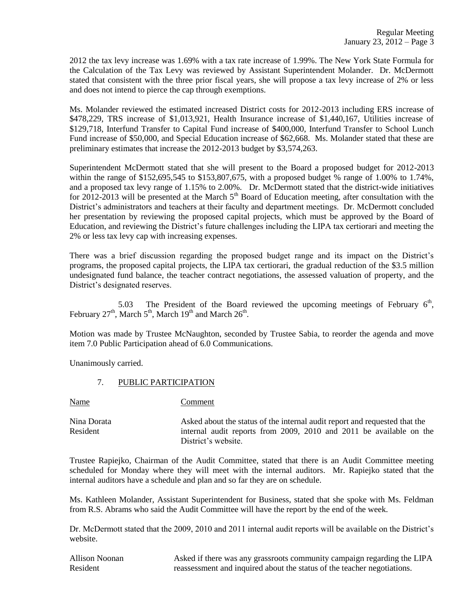2012 the tax levy increase was 1.69% with a tax rate increase of 1.99%. The New York State Formula for the Calculation of the Tax Levy was reviewed by Assistant Superintendent Molander. Dr. McDermott stated that consistent with the three prior fiscal years, she will propose a tax levy increase of 2% or less and does not intend to pierce the cap through exemptions.

Ms. Molander reviewed the estimated increased District costs for 2012-2013 including ERS increase of \$478,229, TRS increase of \$1,013,921, Health Insurance increase of \$1,440,167, Utilities increase of \$129,718, Interfund Transfer to Capital Fund increase of \$400,000, Interfund Transfer to School Lunch Fund increase of \$50,000, and Special Education increase of \$62,668. Ms. Molander stated that these are preliminary estimates that increase the 2012-2013 budget by \$3,574,263.

Superintendent McDermott stated that she will present to the Board a proposed budget for 2012-2013 within the range of \$152,695,545 to \$153,807,675, with a proposed budget % range of 1.00% to 1.74%, and a proposed tax levy range of 1.15% to 2.00%. Dr. McDermott stated that the district-wide initiatives for 2012-2013 will be presented at the March  $5<sup>th</sup>$  Board of Education meeting, after consultation with the District's administrators and teachers at their faculty and department meetings. Dr. McDermott concluded her presentation by reviewing the proposed capital projects, which must be approved by the Board of Education, and reviewing the District's future challenges including the LIPA tax certiorari and meeting the 2% or less tax levy cap with increasing expenses.

There was a brief discussion regarding the proposed budget range and its impact on the District's programs, the proposed capital projects, the LIPA tax certiorari, the gradual reduction of the \$3.5 million undesignated fund balance, the teacher contract negotiations, the assessed valuation of property, and the District's designated reserves.

5.03 The President of the Board reviewed the upcoming meetings of February  $6<sup>th</sup>$ , February 27<sup>th</sup>, March 5<sup>th</sup>, March 19<sup>th</sup> and March 26<sup>th</sup>.

Motion was made by Trustee McNaughton, seconded by Trustee Sabia, to reorder the agenda and move item 7.0 Public Participation ahead of 6.0 Communications.

Unanimously carried.

## 7. PUBLIC PARTICIPATION

Name Comment

Nina Dorata Asked about the status of the internal audit report and requested that the Resident internal audit reports from 2009, 2010 and 2011 be available on the District's website.

Trustee Rapiejko, Chairman of the Audit Committee, stated that there is an Audit Committee meeting scheduled for Monday where they will meet with the internal auditors. Mr. Rapiejko stated that the internal auditors have a schedule and plan and so far they are on schedule.

Ms. Kathleen Molander, Assistant Superintendent for Business, stated that she spoke with Ms. Feldman from R.S. Abrams who said the Audit Committee will have the report by the end of the week.

Dr. McDermott stated that the 2009, 2010 and 2011 internal audit reports will be available on the District's website.

| Allison Noonan | Asked if there was any grassroots community campaign regarding the LIPA |
|----------------|-------------------------------------------------------------------------|
| Resident       | reassessment and inquired about the status of the teacher negotiations. |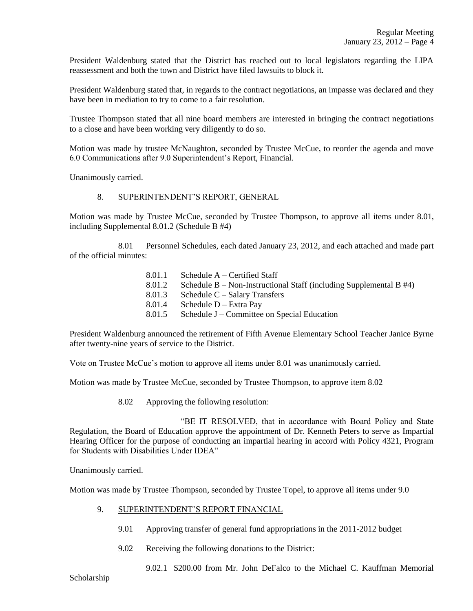President Waldenburg stated that the District has reached out to local legislators regarding the LIPA reassessment and both the town and District have filed lawsuits to block it.

President Waldenburg stated that, in regards to the contract negotiations, an impasse was declared and they have been in mediation to try to come to a fair resolution.

Trustee Thompson stated that all nine board members are interested in bringing the contract negotiations to a close and have been working very diligently to do so.

Motion was made by trustee McNaughton, seconded by Trustee McCue, to reorder the agenda and move 6.0 Communications after 9.0 Superintendent's Report, Financial.

Unanimously carried.

# 8. SUPERINTENDENT'S REPORT, GENERAL

Motion was made by Trustee McCue, seconded by Trustee Thompson, to approve all items under 8.01, including Supplemental 8.01.2 (Schedule B #4)

8.01 Personnel Schedules, each dated January 23, 2012, and each attached and made part of the official minutes:

- 8.01.1 Schedule A Certified Staff
- 8.01.2 Schedule B Non-Instructional Staff (including Supplemental B #4)
- 8.01.3 Schedule C Salary Transfers
- 8.01.4 Schedule D Extra Pay
- 8.01.5 Schedule J Committee on Special Education

President Waldenburg announced the retirement of Fifth Avenue Elementary School Teacher Janice Byrne after twenty-nine years of service to the District.

Vote on Trustee McCue's motion to approve all items under 8.01 was unanimously carried.

Motion was made by Trustee McCue, seconded by Trustee Thompson, to approve item 8.02

8.02 Approving the following resolution:

"BE IT RESOLVED, that in accordance with Board Policy and State Regulation, the Board of Education approve the appointment of Dr. Kenneth Peters to serve as Impartial Hearing Officer for the purpose of conducting an impartial hearing in accord with Policy 4321, Program for Students with Disabilities Under IDEA"

Unanimously carried.

Motion was made by Trustee Thompson, seconded by Trustee Topel, to approve all items under 9.0

- 9. SUPERINTENDENT'S REPORT FINANCIAL
	- 9.01 Approving transfer of general fund appropriations in the 2011-2012 budget
	- 9.02 Receiving the following donations to the District:

9.02.1 \$200.00 from Mr. John DeFalco to the Michael C. Kauffman Memorial

Scholarship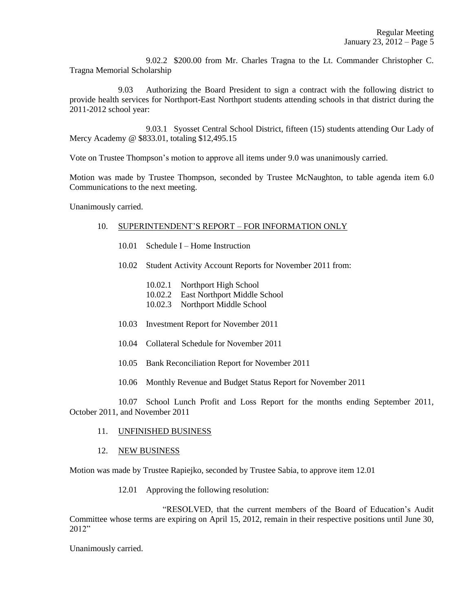9.02.2 \$200.00 from Mr. Charles Tragna to the Lt. Commander Christopher C. Tragna Memorial Scholarship

9.03 Authorizing the Board President to sign a contract with the following district to provide health services for Northport-East Northport students attending schools in that district during the 2011-2012 school year:

9.03.1 Syosset Central School District, fifteen (15) students attending Our Lady of Mercy Academy @ \$833.01, totaling \$12,495.15

Vote on Trustee Thompson's motion to approve all items under 9.0 was unanimously carried.

Motion was made by Trustee Thompson, seconded by Trustee McNaughton, to table agenda item 6.0 Communications to the next meeting.

Unanimously carried.

### 10. SUPERINTENDENT'S REPORT – FOR INFORMATION ONLY

- 10.01 Schedule I Home Instruction
- 10.02 Student Activity Account Reports for November 2011 from:
	- 10.02.1 Northport High School
	- 10.02.2 East Northport Middle School
	- 10.02.3 Northport Middle School
- 10.03 Investment Report for November 2011
- 10.04 Collateral Schedule for November 2011
- 10.05 Bank Reconciliation Report for November 2011
- 10.06 Monthly Revenue and Budget Status Report for November 2011

10.07 School Lunch Profit and Loss Report for the months ending September 2011, October 2011, and November 2011

- 11. UNFINISHED BUSINESS
- 12. NEW BUSINESS

Motion was made by Trustee Rapiejko, seconded by Trustee Sabia, to approve item 12.01

12.01 Approving the following resolution:

"RESOLVED, that the current members of the Board of Education's Audit Committee whose terms are expiring on April 15, 2012, remain in their respective positions until June 30, 2012"

Unanimously carried.